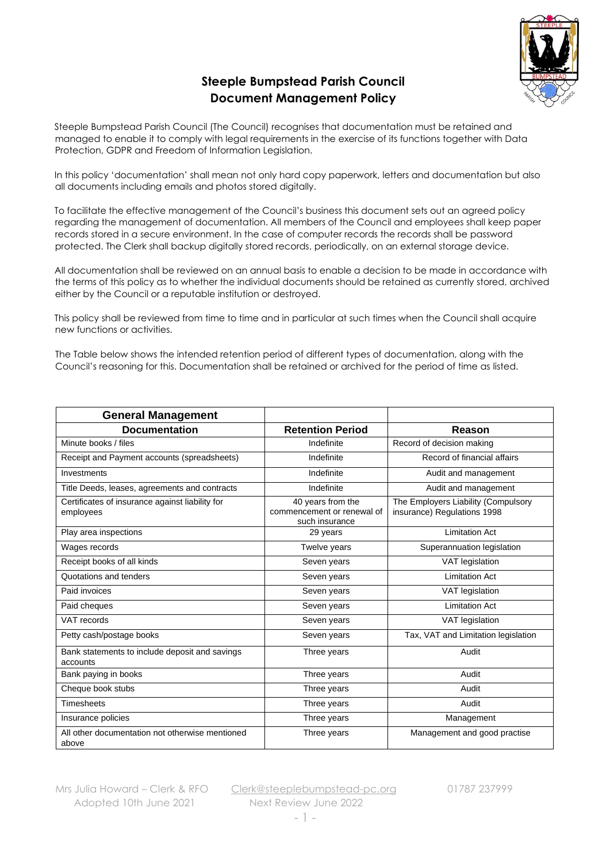

## **Steeple Bumpstead Parish Council Document Management Policy**

Steeple Bumpstead Parish Council (The Council) recognises that documentation must be retained and managed to enable it to comply with legal requirements in the exercise of its functions together with Data Protection, GDPR and Freedom of Information Legislation.

In this policy 'documentation' shall mean not only hard copy paperwork, letters and documentation but also all documents including emails and photos stored digitally.

To facilitate the effective management of the Council's business this document sets out an agreed policy regarding the management of documentation. All members of the Council and employees shall keep paper records stored in a secure environment. In the case of computer records the records shall be password protected. The Clerk shall backup digitally stored records, periodically, on an external storage device.

All documentation shall be reviewed on an annual basis to enable a decision to be made in accordance with the terms of this policy as to whether the individual documents should be retained as currently stored, archived either by the Council or a reputable institution or destroyed.

This policy shall be reviewed from time to time and in particular at such times when the Council shall acquire new functions or activities.

The Table below shows the intended retention period of different types of documentation, along with the Council's reasoning for this. Documentation shall be retained or archived for the period of time as listed.

| <b>General Management</b>                                    |                                                                   |                                                                    |
|--------------------------------------------------------------|-------------------------------------------------------------------|--------------------------------------------------------------------|
| <b>Documentation</b>                                         | <b>Retention Period</b>                                           | Reason                                                             |
| Minute books / files                                         | Indefinite                                                        | Record of decision making                                          |
| Receipt and Payment accounts (spreadsheets)                  | Indefinite                                                        | Record of financial affairs                                        |
| Investments                                                  | Indefinite                                                        | Audit and management                                               |
| Title Deeds, leases, agreements and contracts                | Indefinite                                                        | Audit and management                                               |
| Certificates of insurance against liability for<br>employees | 40 years from the<br>commencement or renewal of<br>such insurance | The Employers Liability (Compulsory<br>insurance) Regulations 1998 |
| Play area inspections                                        | 29 years                                                          | <b>Limitation Act</b>                                              |
| Wages records                                                | Twelve years                                                      | Superannuation legislation                                         |
| Receipt books of all kinds                                   | Seven years                                                       | VAT legislation                                                    |
| Quotations and tenders                                       | Seven years                                                       | <b>Limitation Act</b>                                              |
| Paid invoices                                                | Seven years                                                       | VAT legislation                                                    |
| Paid cheques                                                 | Seven years                                                       | <b>Limitation Act</b>                                              |
| VAT records                                                  | Seven years                                                       | VAT legislation                                                    |
| Petty cash/postage books                                     | Seven years                                                       | Tax, VAT and Limitation legislation                                |
| Bank statements to include deposit and savings<br>accounts   | Three years                                                       | Audit                                                              |
| Bank paying in books                                         | Three years                                                       | Audit                                                              |
| Cheque book stubs                                            | Three years                                                       | Audit                                                              |
| <b>Timesheets</b>                                            | Three years                                                       | Audit                                                              |
| Insurance policies                                           | Three years                                                       | Management                                                         |
| All other documentation not otherwise mentioned<br>above     | Three years                                                       | Management and good practise                                       |

Adopted 10th June 2021 Next Review June 2022

Mrs Julia Howard - Clerk & RFO [Clerk@steeplebumpstead-pc.org](mailto:Clerk@steeplebumpstead-pc.org)  01787 237999